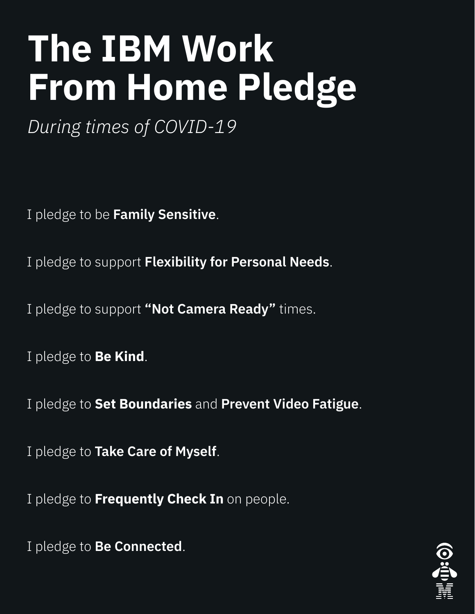## I pledge to be **Family Sensitive**.

## I pledge to support **Flexibility for Personal Needs**.

## I pledge to support **"Not Camera Ready"** times.

## I pledge to **Be Kind**.

## I pledge to **Set Boundaries** and **Prevent Video Fatigue**.

## I pledge to **Take Care of Myself**.

## I pledge to **Frequently Check In** on people.

## I pledge to **Be Connected**.



## **The IBM Work From Home Pledge**

*During times of COVID-19*